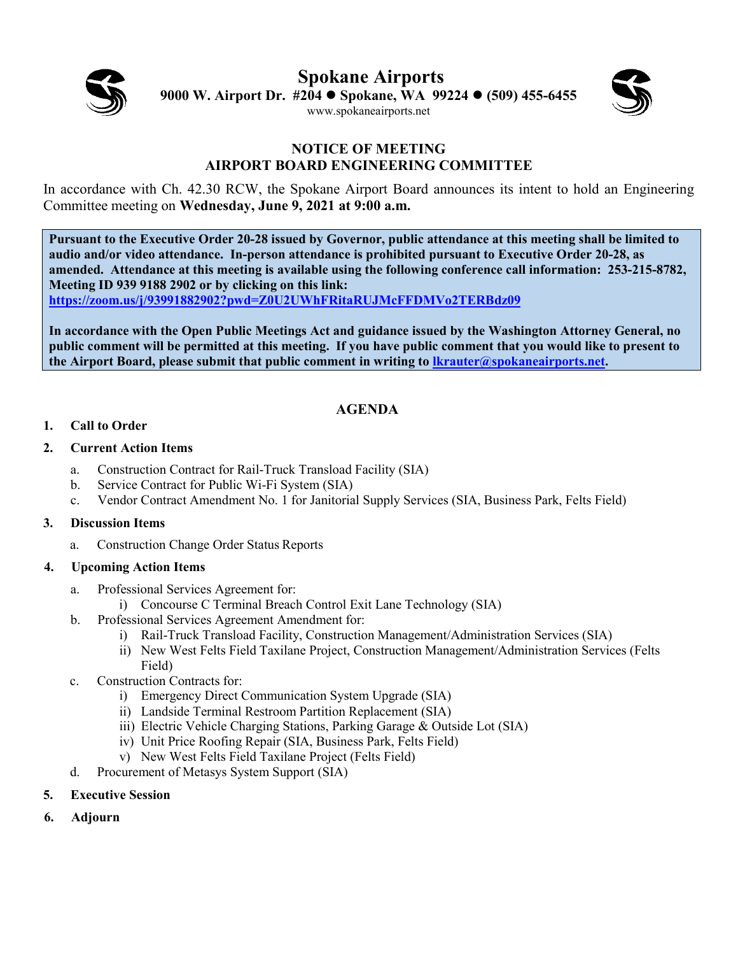

**Spokane Airports 9000 W. Airport Dr. #204 Spokane, WA 99224 (509) 455-6455** [www.spokaneairports.net](http://www.spokaneairports.net/)



### **NOTICE OF MEETING AIRPORT BOARD ENGINEERING COMMITTEE**

In accordance with Ch. 42.30 RCW, the Spokane Airport Board announces its intent to hold an Engineering Committee meeting on **Wednesday, June 9, 2021 at 9:00 a.m.** 

**Pursuant to the Executive Order 20-28 issued by Governor, public attendance at this meeting shall be limited to audio and/or video attendance. In-person attendance is prohibited pursuant to Executive Order 20-28, as amended. Attendance at this meeting is available using the following conference call information: 253-215-8782, Meeting ID 939 9188 2902 or by clicking on this link:** 

**<https://zoom.us/j/93991882902?pwd=Z0U2UWhFRitaRUJMcFFDMVo2TERBdz09>**

**In accordance with the Open Public Meetings Act and guidance issued by the Washington Attorney General, no public comment will be permitted at this meeting. If you have public comment that you would like to present to the Airport Board, please submit that public comment in writing to [lkrauter@spokaneairports.net.](mailto:lkrauter@spokaneairports.net)**

# **AGENDA**

### **1. Call to Order**

### **2. Current Action Items**

- a. Construction Contract for Rail-Truck Transload Facility (SIA)
- b. Service Contract for Public Wi-Fi System (SIA)
- c. Vendor Contract Amendment No. 1 for Janitorial Supply Services (SIA, Business Park, Felts Field)

#### **3. Discussion Items**

a. Construction Change Order Status Reports

## **4. Upcoming Action Items**

- a. Professional Services Agreement for:
	- i) Concourse C Terminal Breach Control Exit Lane Technology (SIA)
- b. Professional Services Agreement Amendment for:
	- i) Rail-Truck Transload Facility, Construction Management/Administration Services (SIA)
	- ii) New West Felts Field Taxilane Project, Construction Management/Administration Services (Felts Field)
- c. Construction Contracts for:
	- i) Emergency Direct Communication System Upgrade (SIA)
	- ii) Landside Terminal Restroom Partition Replacement (SIA)
	- iii) Electric Vehicle Charging Stations, Parking Garage & Outside Lot (SIA)
	- iv) Unit Price Roofing Repair (SIA, Business Park, Felts Field)
	- v) New West Felts Field Taxilane Project (Felts Field)
- d. Procurement of Metasys System Support (SIA)
- **5. Executive Session**
- **6. Adjourn**